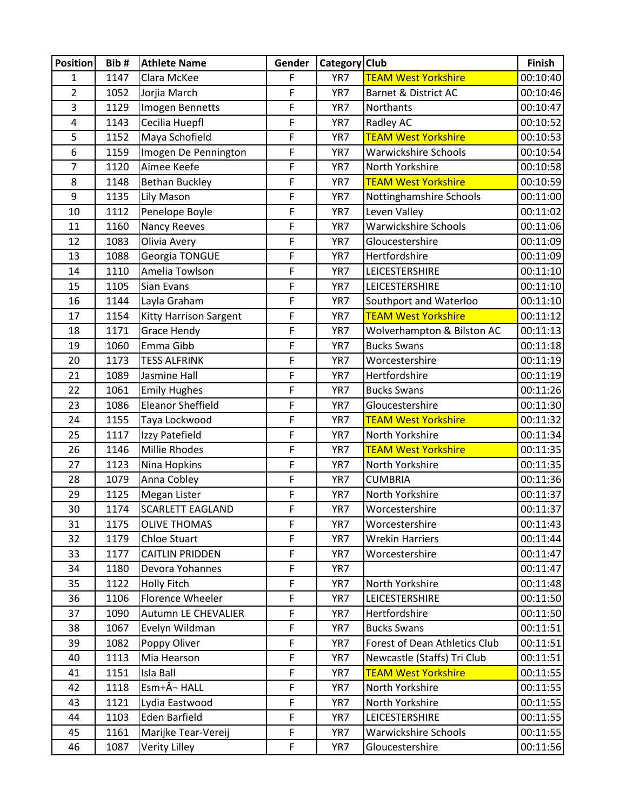| <b>Position</b> | Bib# | <b>Athlete Name</b>      | Gender         | Category Club |                               | Finish   |
|-----------------|------|--------------------------|----------------|---------------|-------------------------------|----------|
| $\mathbf{1}$    | 1147 | Clara McKee              | F              | YR7           | <b>TEAM West Yorkshire</b>    | 00:10:40 |
| $\overline{2}$  | 1052 | Jorjia March             | F              | YR7           | Barnet & District AC          | 00:10:46 |
| 3               | 1129 | Imogen Bennetts          | F              | YR7           | Northants                     | 00:10:47 |
| 4               | 1143 | Cecilia Huepfl           | F              | YR7           | Radley AC                     | 00:10:52 |
| 5               | 1152 | Maya Schofield           | F              | YR7           | <b>TEAM West Yorkshire</b>    | 00:10:53 |
| 6               | 1159 | Imogen De Pennington     | F              | YR7           | <b>Warwickshire Schools</b>   | 00:10:54 |
| 7               | 1120 | Aimee Keefe              | F              | YR7           | North Yorkshire               | 00:10:58 |
| 8               | 1148 | <b>Bethan Buckley</b>    | F              | YR7           | <b>TEAM West Yorkshire</b>    | 00:10:59 |
| 9               | 1135 | Lily Mason               | F              | YR7           | Nottinghamshire Schools       | 00:11:00 |
| 10              | 1112 | Penelope Boyle           | F              | YR7           | Leven Valley                  | 00:11:02 |
| 11              | 1160 | Nancy Reeves             | F              | YR7           | <b>Warwickshire Schools</b>   | 00:11:06 |
| 12              | 1083 | Olivia Avery             | F              | YR7           | Gloucestershire               | 00:11:09 |
| 13              | 1088 | Georgia TONGUE           | F              | YR7           | Hertfordshire                 | 00:11:09 |
| 14              | 1110 | Amelia Towlson           | F              | YR7           | LEICESTERSHIRE                | 00:11:10 |
| 15              | 1105 | Sian Evans               | F              | YR7           | LEICESTERSHIRE                | 00:11:10 |
| 16              | 1144 | Layla Graham             | F              | YR7           | Southport and Waterloo        | 00:11:10 |
| 17              | 1154 | Kitty Harrison Sargent   | $\mathsf F$    | YR7           | <b>TEAM West Yorkshire</b>    | 00:11:12 |
| 18              | 1171 | <b>Grace Hendy</b>       | F              | YR7           | Wolverhampton & Bilston AC    | 00:11:13 |
| 19              | 1060 | Emma Gibb                | F              | YR7           | <b>Bucks Swans</b>            | 00:11:18 |
| 20              | 1173 | <b>TESS ALFRINK</b>      | F              | YR7           | Worcestershire                | 00:11:19 |
| 21              | 1089 | Jasmine Hall             | F              | YR7           | Hertfordshire                 | 00:11:19 |
| 22              | 1061 | <b>Emily Hughes</b>      | F              | YR7           | <b>Bucks Swans</b>            | 00:11:26 |
| 23              | 1086 | <b>Eleanor Sheffield</b> | F              | YR7           | Gloucestershire               | 00:11:30 |
| 24              | 1155 | Taya Lockwood            | F              | YR7           | <b>TEAM West Yorkshire</b>    | 00:11:32 |
| 25              | 1117 | Izzy Patefield           | F              | YR7           | North Yorkshire               | 00:11:34 |
| 26              | 1146 | <b>Millie Rhodes</b>     | F              | YR7           | <b>TEAM West Yorkshire</b>    | 00:11:35 |
| 27              | 1123 | Nina Hopkins             | F              | YR7           | North Yorkshire               | 00:11:35 |
| 28              | 1079 | Anna Cobley              | F              | YR7           | <b>CUMBRIA</b>                | 00:11:36 |
| 29              | 1125 | Megan Lister             | F              | YR7           | North Yorkshire               | 00:11:37 |
| 30              | 1174 | <b>SCARLETT EAGLAND</b>  | F              | YR7           | Worcestershire                | 00:11:37 |
| 31              | 1175 | <b>OLIVE THOMAS</b>      | F              | YR7           | Worcestershire                | 00:11:43 |
| 32              | 1179 | Chloe Stuart             | F              | YR7           | <b>Wrekin Harriers</b>        | 00:11:44 |
| 33              | 1177 | <b>CAITLIN PRIDDEN</b>   | $\overline{F}$ | YR7           | Worcestershire                | 00:11:47 |
| 34              | 1180 | Devora Yohannes          | $\mathsf F$    | YR7           |                               | 00:11:47 |
| 35              | 1122 | <b>Holly Fitch</b>       | F              | YR7           | North Yorkshire               | 00:11:48 |
| 36              | 1106 | Florence Wheeler         | $\mathsf F$    | YR7           | <b>LEICESTERSHIRE</b>         | 00:11:50 |
| 37              | 1090 | Autumn LE CHEVALIER      | F              | YR7           | Hertfordshire                 | 00:11:50 |
| 38              | 1067 | Evelyn Wildman           | $\mathsf F$    | YR7           | <b>Bucks Swans</b>            | 00:11:51 |
| 39              | 1082 | Poppy Oliver             | $\mathsf F$    | YR7           | Forest of Dean Athletics Club | 00:11:51 |
| 40              | 1113 | Mia Hearson              | F              | YR7           | Newcastle (Staffs) Tri Club   | 00:11:51 |
| 41              | 1151 | Isla Ball                | $\mathsf F$    | YR7           | <b>TEAM West Yorkshire</b>    | 00:11:55 |
| 42              | 1118 | Esm+¬ HALL               | $\mathsf F$    | YR7           | North Yorkshire               | 00:11:55 |
| 43              | 1121 | Lydia Eastwood           | $\mathsf F$    | YR7           | North Yorkshire               | 00:11:55 |
| 44              | 1103 | Eden Barfield            | $\mathsf{F}$   | YR7           | LEICESTERSHIRE                | 00:11:55 |
| 45              | 1161 | Marijke Tear-Vereij      | $\overline{F}$ | YR7           | <b>Warwickshire Schools</b>   | 00:11:55 |
| 46              | 1087 | Verity Lilley            | $\mathsf F$    | YR7           | Gloucestershire               | 00:11:56 |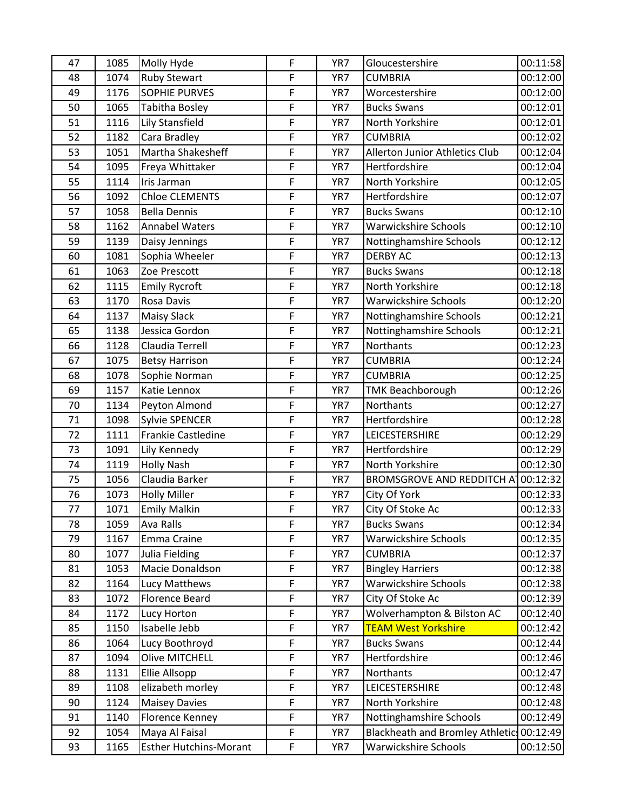| 47 | 1085 | Molly Hyde                    | F           | YR7 | Gloucestershire                           | 00:11:58 |
|----|------|-------------------------------|-------------|-----|-------------------------------------------|----------|
| 48 | 1074 | <b>Ruby Stewart</b>           | F           | YR7 | <b>CUMBRIA</b>                            | 00:12:00 |
| 49 | 1176 | <b>SOPHIE PURVES</b>          | F           | YR7 | Worcestershire                            | 00:12:00 |
| 50 | 1065 | Tabitha Bosley                | F           | YR7 | <b>Bucks Swans</b>                        | 00:12:01 |
| 51 | 1116 | Lily Stansfield               | F           | YR7 | North Yorkshire                           | 00:12:01 |
| 52 | 1182 | Cara Bradley                  | F           | YR7 | <b>CUMBRIA</b>                            | 00:12:02 |
| 53 | 1051 | Martha Shakesheff             | F           | YR7 | Allerton Junior Athletics Club            | 00:12:04 |
| 54 | 1095 | Freya Whittaker               | F           | YR7 | Hertfordshire                             | 00:12:04 |
| 55 | 1114 | Iris Jarman                   | F           | YR7 | North Yorkshire                           | 00:12:05 |
| 56 | 1092 | <b>Chloe CLEMENTS</b>         | F           | YR7 | Hertfordshire                             | 00:12:07 |
| 57 | 1058 | <b>Bella Dennis</b>           | F           | YR7 | <b>Bucks Swans</b>                        | 00:12:10 |
| 58 | 1162 | <b>Annabel Waters</b>         | F           | YR7 | <b>Warwickshire Schools</b>               | 00:12:10 |
| 59 | 1139 | Daisy Jennings                | F           | YR7 | Nottinghamshire Schools                   | 00:12:12 |
| 60 | 1081 | Sophia Wheeler                | F           | YR7 | <b>DERBY AC</b>                           | 00:12:13 |
| 61 | 1063 | Zoe Prescott                  | F           | YR7 | <b>Bucks Swans</b>                        | 00:12:18 |
| 62 | 1115 | <b>Emily Rycroft</b>          | F           | YR7 | North Yorkshire                           | 00:12:18 |
| 63 | 1170 | Rosa Davis                    | F           | YR7 | <b>Warwickshire Schools</b>               | 00:12:20 |
| 64 | 1137 | <b>Maisy Slack</b>            | F           | YR7 | Nottinghamshire Schools                   | 00:12:21 |
| 65 | 1138 | Jessica Gordon                | F           | YR7 | Nottinghamshire Schools                   | 00:12:21 |
| 66 | 1128 | Claudia Terrell               | F           | YR7 | Northants                                 | 00:12:23 |
| 67 | 1075 | <b>Betsy Harrison</b>         | F           | YR7 | <b>CUMBRIA</b>                            | 00:12:24 |
| 68 | 1078 | Sophie Norman                 | F           | YR7 | <b>CUMBRIA</b>                            | 00:12:25 |
| 69 | 1157 | Katie Lennox                  | F           | YR7 | <b>TMK Beachborough</b>                   | 00:12:26 |
| 70 | 1134 | Peyton Almond                 | F           | YR7 | <b>Northants</b>                          | 00:12:27 |
| 71 | 1098 | <b>Sylvie SPENCER</b>         | F           | YR7 | Hertfordshire                             | 00:12:28 |
| 72 | 1111 | Frankie Castledine            | F           | YR7 | <b>LEICESTERSHIRE</b>                     | 00:12:29 |
| 73 | 1091 | Lily Kennedy                  | F           | YR7 | Hertfordshire                             | 00:12:29 |
| 74 | 1119 | <b>Holly Nash</b>             | F           | YR7 | North Yorkshire                           | 00:12:30 |
| 75 | 1056 | Claudia Barker                | F           | YR7 | <b>BROMSGROVE AND REDDITCH AT</b>         | 00:12:32 |
| 76 | 1073 | <b>Holly Miller</b>           | F           | YR7 | City Of York                              | 00:12:33 |
| 77 | 1071 | <b>Emily Malkin</b>           | F           | YR7 | City Of Stoke Ac                          | 00:12:33 |
| 78 | 1059 | Ava Ralls                     | F           | YR7 | <b>Bucks Swans</b>                        | 00:12:34 |
| 79 | 1167 | Emma Craine                   | F           | YR7 | <b>Warwickshire Schools</b>               | 00:12:35 |
| 80 | 1077 | Julia Fielding                | F           | YR7 | <b>CUMBRIA</b>                            | 00:12:37 |
| 81 | 1053 | Macie Donaldson               | F           | YR7 | <b>Bingley Harriers</b>                   | 00:12:38 |
| 82 | 1164 | Lucy Matthews                 | F           | YR7 | Warwickshire Schools                      | 00:12:38 |
| 83 | 1072 | <b>Florence Beard</b>         | F           | YR7 | City Of Stoke Ac                          | 00:12:39 |
| 84 | 1172 | Lucy Horton                   | F           | YR7 | Wolverhampton & Bilston AC                | 00:12:40 |
| 85 | 1150 | Isabelle Jebb                 | F           | YR7 | <b>TEAM West Yorkshire</b>                | 00:12:42 |
| 86 | 1064 | Lucy Boothroyd                | F           | YR7 | <b>Bucks Swans</b>                        | 00:12:44 |
| 87 | 1094 | <b>Olive MITCHELL</b>         | F           | YR7 | Hertfordshire                             | 00:12:46 |
| 88 | 1131 | Ellie Allsopp                 | F           | YR7 | Northants                                 | 00:12:47 |
| 89 | 1108 | elizabeth morley              | F           | YR7 | <b>LEICESTERSHIRE</b>                     | 00:12:48 |
| 90 | 1124 | <b>Maisey Davies</b>          | F           | YR7 | North Yorkshire                           | 00:12:48 |
| 91 | 1140 | Florence Kenney               | F.          | YR7 | Nottinghamshire Schools                   | 00:12:49 |
| 92 | 1054 | Maya Al Faisal                | F           | YR7 | Blackheath and Bromley Athletic: 00:12:49 |          |
| 93 | 1165 | <b>Esther Hutchins-Morant</b> | $\mathsf F$ | YR7 | <b>Warwickshire Schools</b>               | 00:12:50 |